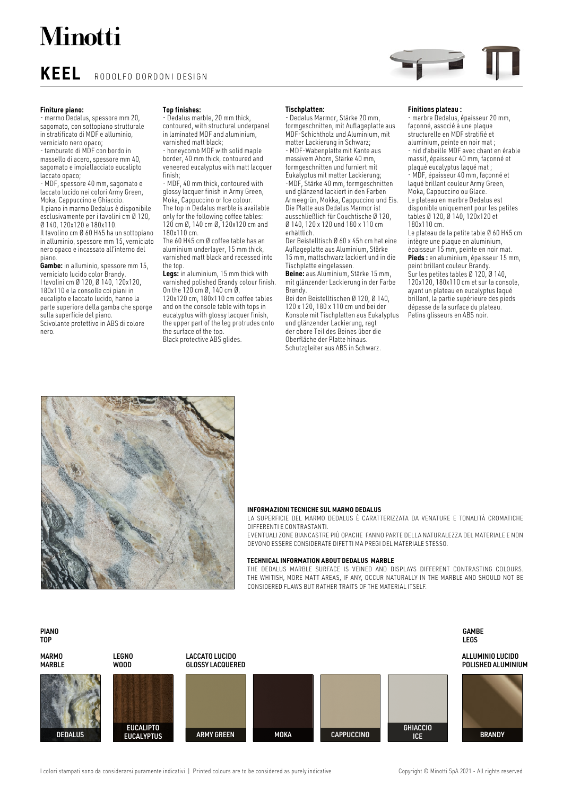# **Minotti**

**KEEL** RODOLFO DORDONI DESIGN

## **Finiture piano:**

- marmo Dedalus, spessore mm 20, sagomato, con sottopiano strutturale in stratificato di MDF e alluminio, verniciato nero opaco;

- tamburato di MDF con bordo in massello di acero, spessore mm 40, sagomato e impiallacciato eucalipto laccato opaco;

- MDF, spessore 40 mm, sagomato e laccato lucido nei colori Army Green, Moka, Cappuccino e Ghiaccio. Il piano in marmo Dedalus è disponibile esclusivamente per i tavolini cm Ø 120, Ø 140, 120x120 e 180x110. Il tavolino cm Ø 60 H45 ha un sottopiano

in alluminio, spessore mm 15, verniciato nero opaco e incassato all'interno del piano.

**Gambe:** in alluminio, spessore mm 15, verniciato lucido color Brandy. I tavolini cm Ø 120, Ø 140, 120x120, 180x110 e la consolle coi piani in eucalipto e laccato lucido, hanno la parte superiore della gamba che sporge sulla superficie del piano. Scivolante protettivo in ABS di colore nero.

## **Top finishes:**

Dedalus marble, 20 mm thick, contoured, with structural underpanel in laminated MDF and aluminium, varnished matt black;

- honeycomb MDF with solid maple border, 40 mm thick, contoured and veneered eucalyptus with matt lacquer finish;

- MDF, 40 mm thick, contoured with glossy lacquer finish in Army Green, Moka, Cappuccino or Ice colour. The top in Dedalus marble is available only for the following coffee tables: 120 cm Ø, 140 cm Ø, 120x120 cm and 180x110 cm.

The 60 H45 cm Ø coffee table has an aluminium underlayer, 15 mm thick, varnished matt black and recessed into the top.

**Legs:** in aluminium, 15 mm thick with varnished polished Brandy colour finish. On the 120 cm Ø, 140 cm Ø, 120x120 cm, 180x110 cm coffee tables and on the console table with tops in eucalyptus with glossy lacquer finish, the upper part of the leg protrudes onto the surface of the top. Black protective ABS glides.

#### **Tischplatten:**

- Dedalus Marmor, Stärke 20 mm, formgeschnitten, mit Auflageplatte aus MDF-Schichtholz und Aluminium, mit matter Lackierung in Schwarz; - MDF-Wabenplatte mit Kante aus

massivem Ahorn, Stärke 40 mm, formgeschnitten und furniert mit Eukalyptus mit matter Lackierung; -MDF, Stärke 40 mm, formgeschnitten und glänzend lackiert in den Farben Armeegrün, Mokka, Cappuccino und Eis. Die Platte aus Dedalus Marmor ist ausschließlich für Couchtische Ø 120, Ø 140, 120 x 120 und 180 x 110 cm

erhältlich. Der Beistelltisch Ø 60 x 45h cm hat eine Auflageplatte aus Aluminium, Stärke 15 mm, mattschwarz lackiert und in die Tischplatte eingelassen.

**Beine:** aus Aluminium, Stärke 15 mm, mit glänzender Lackierung in der Farbe Brandy.

Bei den Beistelltischen Ø 120, Ø 140, 120 x 120, 180 x 110 cm und bei der Konsole mit Tischplatten aus Eukalyptus und glänzender Lackierung, ragt der obere Teil des Beines über die Oberfläche der Platte hinaus. Schutzgleiter aus ABS in Schwarz.

#### **Finitions plateau :**

- marbre Dedalus, épaisseur 20 mm, façonné, associé à une plaque structurelle en MDF stratifié et aluminium, peinte en noir mat ; - nid d'abeille MDF avec chant en érable massif, épaisseur 40 mm, façonné et plaqué eucalyptus laqué mat ;

- MDF, épaisseur 40 mm, façonné et laqué brillant couleur Army Green, Moka, Cappuccino ou Glace. Le plateau en marbre Dedalus est disponible uniquement pour les petites tables Ø 120, Ø 140, 120x120 et 180x110 cm.

Le plateau de la petite table Ø 60 H45 cm intègre une plaque en aluminium,

épaisseur 15 mm, peinte en noir mat. **Pieds :** en aluminium, épaisseur 15 mm, peint brillant couleur Brandy. Sur les petites tables Ø 120, Ø 140, 120x120, 180x110 cm et sur la console, ayant un plateau en eucalyptus laqué brillant, la partie supérieure des pieds dépasse de la surface du plateau. Patins glisseurs en ABS noir.



### **INFORMAZIONI TECNICHE SUL MARMO DEDALUS**

LA SUPERFICIE DEL MARMO DEDALUS È CARATTERIZZATA DA VENATURE E TONALITÀ CROMATICHE DIFFERENTI E CONTRASTANTI.

EVENTUALI ZONE BIANCASTRE PIÙ OPACHE FANNO PARTE DELL A NATURALEZZA DEL MATERIALE E NON DEVONO ESSERE CONSIDERATE DIFETTI MA PREGI DEL MATERIALE STESSO.

#### **TECHNICAL INFORMATION ABOUT DEDALUS MARBLE**

THE DEDALUS MARBLE SURFACE IS VEINED AND DISPLAYS DIFFERENT CONTRASTING COLOURS. THE WHITISH, MORE MATT AREAS, IF ANY, OCCUR NATURALLY IN THE MARBLE AND SHOULD NOT BE CONSIDERED FL AWS BUT RATHER TRAITS OF THE MATERIAL ITSELF.

#### PIANO TOP



I colori stampati sono da considerarsi puramente indicativi | Printed colours are to be considered as purely indicative Copyright © Minotti SpA 2021 - All rights reserved

GAMBE LEGS